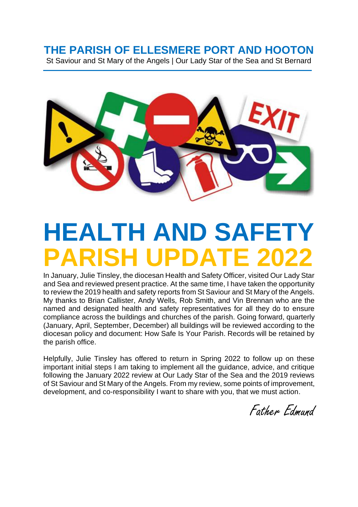# **THE PARISH OF ELLESMERE PORT AND HOOTON**

St Saviour and St Mary of the Angels | Our Lady Star of the Sea and St Bernard



# **HEALTH AND SAFETY PARISH UPDATE 2022**

In January, Julie Tinsley, the diocesan Health and Safety Officer, visited Our Lady Star and Sea and reviewed present practice. At the same time, I have taken the opportunity to review the 2019 health and safety reports from St Saviour and St Mary of the Angels. My thanks to Brian Callister, Andy Wells, Rob Smith, and Vin Brennan who are the named and designated health and safety representatives for all they do to ensure compliance across the buildings and churches of the parish. Going forward, quarterly (January, April, September, December) all buildings will be reviewed according to the diocesan policy and document: How Safe Is Your Parish. Records will be retained by the parish office.

Helpfully, Julie Tinsley has offered to return in Spring 2022 to follow up on these important initial steps I am taking to implement all the guidance, advice, and critique following the January 2022 review at Our Lady Star of the Sea and the 2019 reviews of St Saviour and St Mary of the Angels. From my review, some points of improvement, development, and co-responsibility I want to share with you, that we must action.

Father Edmund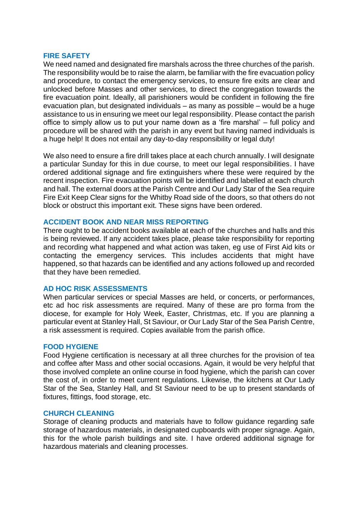#### **FIRE SAFETY**

We need named and designated fire marshals across the three churches of the parish. The responsibility would be to raise the alarm, be familiar with the fire evacuation policy and procedure, to contact the emergency services, to ensure fire exits are clear and unlocked before Masses and other services, to direct the congregation towards the fire evacuation point. Ideally, all parishioners would be confident in following the fire evacuation plan, but designated individuals – as many as possible – would be a huge assistance to us in ensuring we meet our legal responsibility. Please contact the parish office to simply allow us to put your name down as a 'fire marshal' – full policy and procedure will be shared with the parish in any event but having named individuals is a huge help! It does not entail any day-to-day responsibility or legal duty!

We also need to ensure a fire drill takes place at each church annually. I will designate a particular Sunday for this in due course, to meet our legal responsibilities. I have ordered additional signage and fire extinguishers where these were required by the recent inspection. Fire evacuation points will be identified and labelled at each church and hall. The external doors at the Parish Centre and Our Lady Star of the Sea require Fire Exit Keep Clear signs for the Whitby Road side of the doors, so that others do not block or obstruct this important exit. These signs have been ordered.

# **ACCIDENT BOOK AND NEAR MISS REPORTING**

There ought to be accident books available at each of the churches and halls and this is being reviewed. If any accident takes place, please take responsibility for reporting and recording what happened and what action was taken, eg use of First Aid kits or contacting the emergency services. This includes accidents that might have happened, so that hazards can be identified and any actions followed up and recorded that they have been remedied.

# **AD HOC RISK ASSESSMENTS**

When particular services or special Masses are held, or concerts, or performances, etc ad hoc risk assessments are required. Many of these are pro forma from the diocese, for example for Holy Week, Easter, Christmas, etc. If you are planning a particular event at Stanley Hall, St Saviour, or Our Lady Star of the Sea Parish Centre, a risk assessment is required. Copies available from the parish office.

# **FOOD HYGIENE**

Food Hygiene certification is necessary at all three churches for the provision of tea and coffee after Mass and other social occasions. Again, it would be very helpful that those involved complete an online course in food hygiene, which the parish can cover the cost of, in order to meet current regulations. Likewise, the kitchens at Our Lady Star of the Sea, Stanley Hall, and St Saviour need to be up to present standards of fixtures, fittings, food storage, etc.

# **CHURCH CLEANING**

Storage of cleaning products and materials have to follow guidance regarding safe storage of hazardous materials, in designated cupboards with proper signage. Again, this for the whole parish buildings and site. I have ordered additional signage for hazardous materials and cleaning processes.